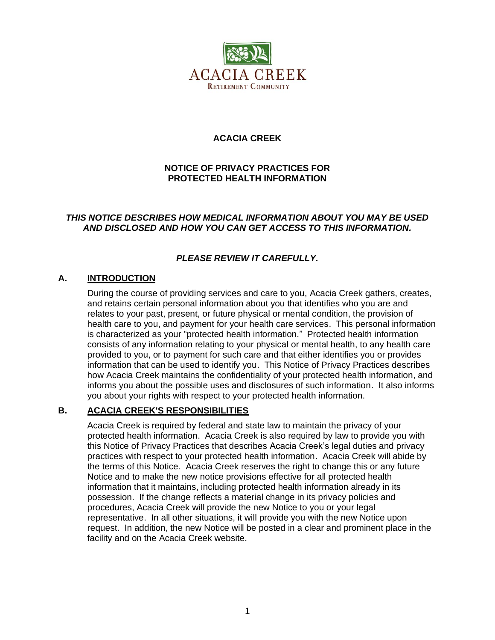

# **ACACIA CREEK**

# **NOTICE OF PRIVACY PRACTICES FOR PROTECTED HEALTH INFORMATION**

# *THIS NOTICE DESCRIBES HOW MEDICAL INFORMATION ABOUT YOU MAY BE USED AND DISCLOSED AND HOW YOU CAN GET ACCESS TO THIS INFORMATION.*

# *PLEASE REVIEW IT CAREFULLY.*

# **A. INTRODUCTION**

During the course of providing services and care to you, Acacia Creek gathers, creates, and retains certain personal information about you that identifies who you are and relates to your past, present, or future physical or mental condition, the provision of health care to you, and payment for your health care services. This personal information is characterized as your "protected health information." Protected health information consists of any information relating to your physical or mental health, to any health care provided to you, or to payment for such care and that either identifies you or provides information that can be used to identify you. This Notice of Privacy Practices describes how Acacia Creek maintains the confidentiality of your protected health information, and informs you about the possible uses and disclosures of such information. It also informs you about your rights with respect to your protected health information.

## **B. ACACIA CREEK'S RESPONSIBILITIES**

Acacia Creek is required by federal and state law to maintain the privacy of your protected health information. Acacia Creek is also required by law to provide you with this Notice of Privacy Practices that describes Acacia Creek's legal duties and privacy practices with respect to your protected health information. Acacia Creek will abide by the terms of this Notice. Acacia Creek reserves the right to change this or any future Notice and to make the new notice provisions effective for all protected health information that it maintains, including protected health information already in its possession. If the change reflects a material change in its privacy policies and procedures, Acacia Creek will provide the new Notice to you or your legal representative. In all other situations, it will provide you with the new Notice upon request. In addition, the new Notice will be posted in a clear and prominent place in the facility and on the Acacia Creek website.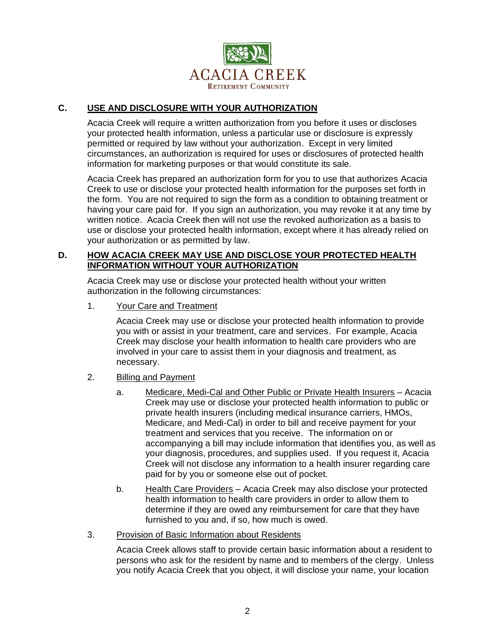

# **C. USE AND DISCLOSURE WITH YOUR AUTHORIZATION**

Acacia Creek will require a written authorization from you before it uses or discloses your protected health information, unless a particular use or disclosure is expressly permitted or required by law without your authorization. Except in very limited circumstances, an authorization is required for uses or disclosures of protected health information for marketing purposes or that would constitute its sale.

Acacia Creek has prepared an authorization form for you to use that authorizes Acacia Creek to use or disclose your protected health information for the purposes set forth in the form. You are not required to sign the form as a condition to obtaining treatment or having your care paid for. If you sign an authorization, you may revoke it at any time by written notice. Acacia Creek then will not use the revoked authorization as a basis to use or disclose your protected health information, except where it has already relied on your authorization or as permitted by law.

## **D. HOW ACACIA CREEK MAY USE AND DISCLOSE YOUR PROTECTED HEALTH INFORMATION WITHOUT YOUR AUTHORIZATION**

Acacia Creek may use or disclose your protected health without your written authorization in the following circumstances:

1. Your Care and Treatment

Acacia Creek may use or disclose your protected health information to provide you with or assist in your treatment, care and services. For example, Acacia Creek may disclose your health information to health care providers who are involved in your care to assist them in your diagnosis and treatment, as necessary.

- 2. Billing and Payment
	- a. Medicare, Medi-Cal and Other Public or Private Health Insurers Acacia Creek may use or disclose your protected health information to public or private health insurers (including medical insurance carriers, HMOs, Medicare, and Medi-Cal) in order to bill and receive payment for your treatment and services that you receive. The information on or accompanying a bill may include information that identifies you, as well as your diagnosis, procedures, and supplies used. If you request it, Acacia Creek will not disclose any information to a health insurer regarding care paid for by you or someone else out of pocket.
	- b. Health Care Providers Acacia Creek may also disclose your protected health information to health care providers in order to allow them to determine if they are owed any reimbursement for care that they have furnished to you and, if so, how much is owed.
- 3. Provision of Basic Information about Residents

Acacia Creek allows staff to provide certain basic information about a resident to persons who ask for the resident by name and to members of the clergy. Unless you notify Acacia Creek that you object, it will disclose your name, your location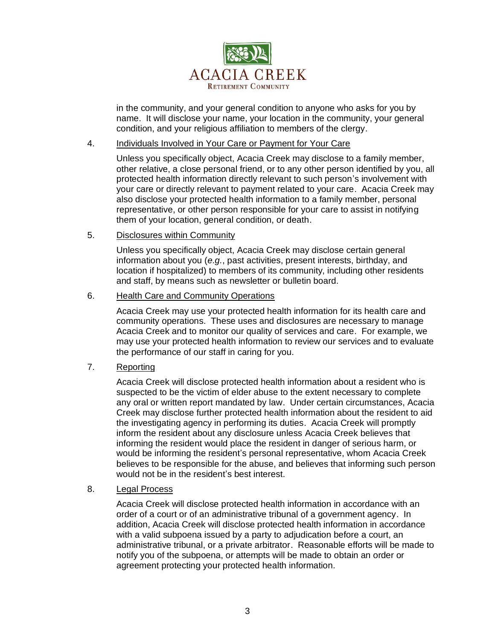

in the community, and your general condition to anyone who asks for you by name. It will disclose your name, your location in the community, your general condition, and your religious affiliation to members of the clergy.

## 4. Individuals Involved in Your Care or Payment for Your Care

Unless you specifically object, Acacia Creek may disclose to a family member, other relative, a close personal friend, or to any other person identified by you, all protected health information directly relevant to such person's involvement with your care or directly relevant to payment related to your care. Acacia Creek may also disclose your protected health information to a family member, personal representative, or other person responsible for your care to assist in notifying them of your location, general condition, or death.

## 5. Disclosures within Community

Unless you specifically object, Acacia Creek may disclose certain general information about you (*e.g.*, past activities, present interests, birthday, and location if hospitalized) to members of its community, including other residents and staff, by means such as newsletter or bulletin board.

## 6. Health Care and Community Operations

Acacia Creek may use your protected health information for its health care and community operations. These uses and disclosures are necessary to manage Acacia Creek and to monitor our quality of services and care. For example, we may use your protected health information to review our services and to evaluate the performance of our staff in caring for you.

## 7. Reporting

Acacia Creek will disclose protected health information about a resident who is suspected to be the victim of elder abuse to the extent necessary to complete any oral or written report mandated by law. Under certain circumstances, Acacia Creek may disclose further protected health information about the resident to aid the investigating agency in performing its duties. Acacia Creek will promptly inform the resident about any disclosure unless Acacia Creek believes that informing the resident would place the resident in danger of serious harm, or would be informing the resident's personal representative, whom Acacia Creek believes to be responsible for the abuse, and believes that informing such person would not be in the resident's best interest.

#### 8. Legal Process

Acacia Creek will disclose protected health information in accordance with an order of a court or of an administrative tribunal of a government agency. In addition, Acacia Creek will disclose protected health information in accordance with a valid subpoena issued by a party to adjudication before a court, an administrative tribunal, or a private arbitrator. Reasonable efforts will be made to notify you of the subpoena, or attempts will be made to obtain an order or agreement protecting your protected health information.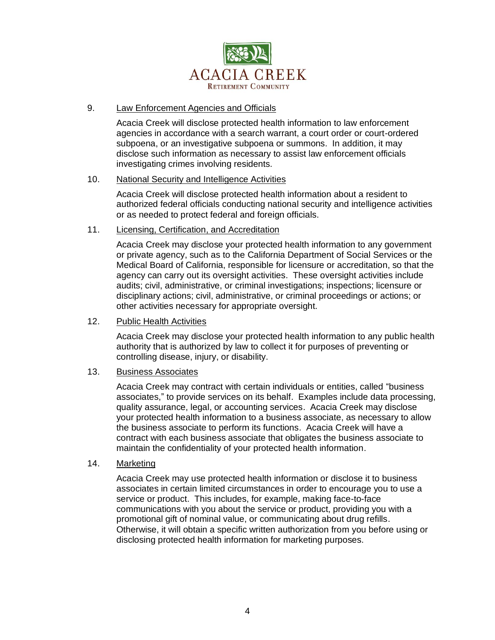

### 9. Law Enforcement Agencies and Officials

Acacia Creek will disclose protected health information to law enforcement agencies in accordance with a search warrant, a court order or court-ordered subpoena, or an investigative subpoena or summons. In addition, it may disclose such information as necessary to assist law enforcement officials investigating crimes involving residents.

## 10. National Security and Intelligence Activities

Acacia Creek will disclose protected health information about a resident to authorized federal officials conducting national security and intelligence activities or as needed to protect federal and foreign officials.

## 11. Licensing, Certification, and Accreditation

Acacia Creek may disclose your protected health information to any government or private agency, such as to the California Department of Social Services or the Medical Board of California, responsible for licensure or accreditation, so that the agency can carry out its oversight activities. These oversight activities include audits; civil, administrative, or criminal investigations; inspections; licensure or disciplinary actions; civil, administrative, or criminal proceedings or actions; or other activities necessary for appropriate oversight.

## 12. Public Health Activities

Acacia Creek may disclose your protected health information to any public health authority that is authorized by law to collect it for purposes of preventing or controlling disease, injury, or disability.

#### 13. Business Associates

Acacia Creek may contract with certain individuals or entities, called "business associates," to provide services on its behalf. Examples include data processing, quality assurance, legal, or accounting services. Acacia Creek may disclose your protected health information to a business associate, as necessary to allow the business associate to perform its functions. Acacia Creek will have a contract with each business associate that obligates the business associate to maintain the confidentiality of your protected health information.

#### 14. Marketing

Acacia Creek may use protected health information or disclose it to business associates in certain limited circumstances in order to encourage you to use a service or product. This includes, for example, making face-to-face communications with you about the service or product, providing you with a promotional gift of nominal value, or communicating about drug refills. Otherwise, it will obtain a specific written authorization from you before using or disclosing protected health information for marketing purposes.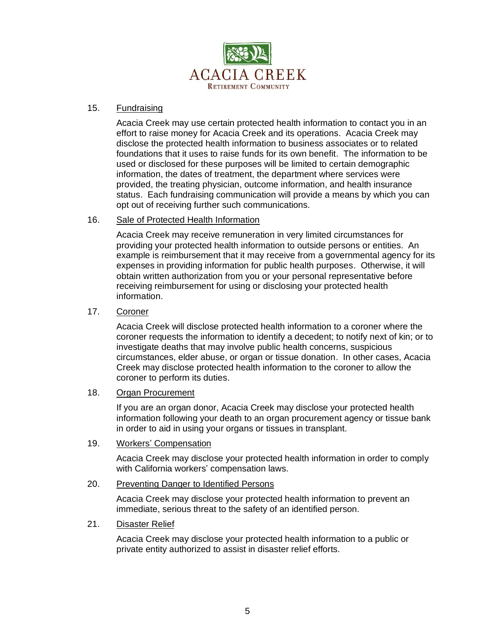

### 15. Fundraising

Acacia Creek may use certain protected health information to contact you in an effort to raise money for Acacia Creek and its operations. Acacia Creek may disclose the protected health information to business associates or to related foundations that it uses to raise funds for its own benefit. The information to be used or disclosed for these purposes will be limited to certain demographic information, the dates of treatment, the department where services were provided, the treating physician, outcome information, and health insurance status. Each fundraising communication will provide a means by which you can opt out of receiving further such communications.

## 16. Sale of Protected Health Information

Acacia Creek may receive remuneration in very limited circumstances for providing your protected health information to outside persons or entities. An example is reimbursement that it may receive from a governmental agency for its expenses in providing information for public health purposes. Otherwise, it will obtain written authorization from you or your personal representative before receiving reimbursement for using or disclosing your protected health information.

## 17. Coroner

Acacia Creek will disclose protected health information to a coroner where the coroner requests the information to identify a decedent; to notify next of kin; or to investigate deaths that may involve public health concerns, suspicious circumstances, elder abuse, or organ or tissue donation. In other cases, Acacia Creek may disclose protected health information to the coroner to allow the coroner to perform its duties.

#### 18. Organ Procurement

If you are an organ donor, Acacia Creek may disclose your protected health information following your death to an organ procurement agency or tissue bank in order to aid in using your organs or tissues in transplant.

#### 19. Workers' Compensation

Acacia Creek may disclose your protected health information in order to comply with California workers' compensation laws.

#### 20. Preventing Danger to Identified Persons

Acacia Creek may disclose your protected health information to prevent an immediate, serious threat to the safety of an identified person.

## 21. Disaster Relief

Acacia Creek may disclose your protected health information to a public or private entity authorized to assist in disaster relief efforts.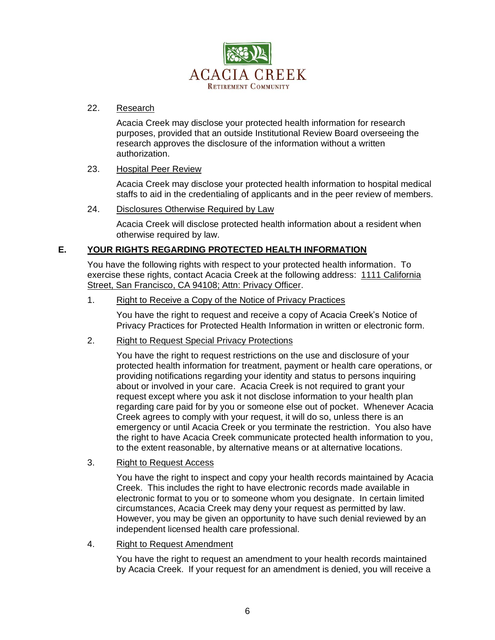

## 22. Research

Acacia Creek may disclose your protected health information for research purposes, provided that an outside Institutional Review Board overseeing the research approves the disclosure of the information without a written authorization.

## 23. Hospital Peer Review

Acacia Creek may disclose your protected health information to hospital medical staffs to aid in the credentialing of applicants and in the peer review of members.

## 24. Disclosures Otherwise Required by Law

Acacia Creek will disclose protected health information about a resident when otherwise required by law.

## **E. YOUR RIGHTS REGARDING PROTECTED HEALTH INFORMATION**

You have the following rights with respect to your protected health information. To exercise these rights, contact Acacia Creek at the following address: 1111 California Street, San Francisco, CA 94108; Attn: Privacy Officer.

## 1. Right to Receive a Copy of the Notice of Privacy Practices

You have the right to request and receive a copy of Acacia Creek's Notice of Privacy Practices for Protected Health Information in written or electronic form.

#### 2. Right to Request Special Privacy Protections

You have the right to request restrictions on the use and disclosure of your protected health information for treatment, payment or health care operations, or providing notifications regarding your identity and status to persons inquiring about or involved in your care. Acacia Creek is not required to grant your request except where you ask it not disclose information to your health plan regarding care paid for by you or someone else out of pocket. Whenever Acacia Creek agrees to comply with your request, it will do so, unless there is an emergency or until Acacia Creek or you terminate the restriction. You also have the right to have Acacia Creek communicate protected health information to you, to the extent reasonable, by alternative means or at alternative locations.

## 3. Right to Request Access

You have the right to inspect and copy your health records maintained by Acacia Creek. This includes the right to have electronic records made available in electronic format to you or to someone whom you designate. In certain limited circumstances, Acacia Creek may deny your request as permitted by law. However, you may be given an opportunity to have such denial reviewed by an independent licensed health care professional.

#### 4. Right to Request Amendment

You have the right to request an amendment to your health records maintained by Acacia Creek. If your request for an amendment is denied, you will receive a